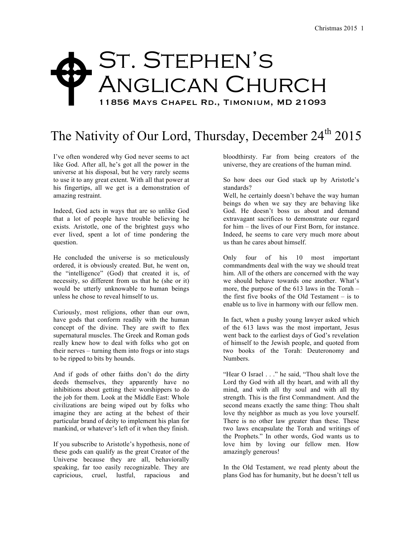## St. Stephen's Anglican Church 11856 Mays Chapel Rd., Timonium, MD 21093  $\blacklozenge$

## The Nativity of Our Lord, Thursday, December 24<sup>th</sup> 2015

I've often wondered why God never seems to act like God. After all, he's got all the power in the universe at his disposal, but he very rarely seems to use it to any great extent. With all that power at his fingertips, all we get is a demonstration of amazing restraint.

Indeed, God acts in ways that are so unlike God that a lot of people have trouble believing he exists. Aristotle, one of the brightest guys who ever lived, spent a lot of time pondering the question.

He concluded the universe is so meticulously ordered, it is obviously created. But, he went on, the "intelligence" (God) that created it is, of necessity, so different from us that he (she or it) would be utterly unknowable to human beings unless he chose to reveal himself to us.

Curiously, most religions, other than our own, have gods that conform readily with the human concept of the divine. They are swift to flex supernatural muscles. The Greek and Roman gods really knew how to deal with folks who got on their nerves – turning them into frogs or into stags to be ripped to bits by hounds.

And if gods of other faiths don't do the dirty deeds themselves, they apparently have no inhibitions about getting their worshippers to do the job for them. Look at the Middle East: Whole civilizations are being wiped out by folks who imagine they are acting at the behest of their particular brand of deity to implement his plan for mankind, or whatever's left of it when they finish.

If you subscribe to Aristotle's hypothesis, none of these gods can qualify as the great Creator of the Universe because they are all, behaviorally speaking, far too easily recognizable. They are capricious, cruel, lustful, rapacious and

bloodthirsty. Far from being creators of the universe, they are creations of the human mind.

So how does our God stack up by Aristotle's standards?

Well, he certainly doesn't behave the way human beings do when we say they are behaving like God. He doesn't boss us about and demand extravagant sacrifices to demonstrate our regard for him – the lives of our First Born, for instance. Indeed, he seems to care very much more about us than he cares about himself.

Only four of his 10 most important commandments deal with the way we should treat him. All of the others are concerned with the way we should behave towards one another. What's more, the purpose of the 613 laws in the Torah – the first five books of the Old Testament – is to enable us to live in harmony with our fellow men.

In fact, when a pushy young lawyer asked which of the 613 laws was the most important, Jesus went back to the earliest days of God's revelation of himself to the Jewish people, and quoted from two books of the Torah: Deuteronomy and Numbers.

"Hear O Israel . . ." he said, "Thou shalt love the Lord thy God with all thy heart, and with all thy mind, and with all thy soul and with all thy strength. This is the first Commandment. And the second means exactly the same thing: Thou shalt love thy neighbor as much as you love yourself. There is no other law greater than these. These two laws encapsulate the Torah and writings of the Prophets." In other words, God wants us to love him by loving our fellow men. How amazingly generous!

In the Old Testament, we read plenty about the plans God has for humanity, but he doesn't tell us